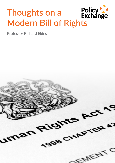# **Thoughts on a**  Thoughts on a Policy

**Professor Richard Ekins**

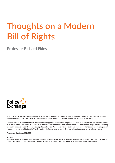## **Thoughts on a Modern Bill of Rights**

**Professor Richard Ekins**



**Policy Exchange is the UK's leading think tank. We are an independent, non-partisan educational charity whose mission is to develop and promote new policy ideas that will deliver better public services, a stronger society and a more dynamic economy.** 

**Policy Exchange is committed to an evidence-based approach to policy development and retains copyright and full editorial control over all its written research. We work in partnership with academics and other experts and commission major studies involving thorough empirical research of alternative policy outcomes. We believe that the policy experience of other countries offers important lessons for government in the UK. We also believe that government has much to learn from business and the voluntary sector.**

**Registered charity no: 1096300.**

#### **Trustees**

**Alexander Downer, Pamela Dow, Andrew Feldman, David Harding, Patricia Hodgson, Greta Jones, Andrew Law, Charlotte Metcalf, David Ord, Roger Orf, Andrew Roberts, Robert Rosenkranz, William Salomon, Peter Wall, Simon Wolfson, Nigel Wright.**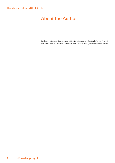## <span id="page-3-0"></span>**About the Author**

Professor Richard Ekins, Head of Policy Exchange's Judicial Power Project and Professor of Law and Constitutional Government, University of Oxford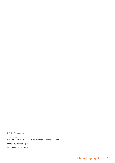**© Policy Exchange 2022**

**Published by Policy Exchange, 1 Old Queen Street, Westminster, London SW1H 9JA**

**www.policyexchange.org.uk**

**ISBN: 978-1-910812-XX-X**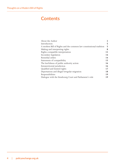### **Contents**

| 2  |
|----|
| 5  |
| 5  |
| 8  |
| 12 |
| 14 |
| 14 |
| 15 |
| 16 |
| 16 |
| 17 |
| 18 |
| 19 |
| 19 |
|    |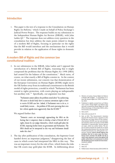#### <span id="page-6-0"></span>**Introduction**

1. This paper is the text of a response to the Consultation on Human Rights Act Reform,<sup>[1](#page-6-1)</sup> which I made on behalf of Policy Exchange's Judicial Power Project. The response builds on my submission to the Independent Human Rights Act Review (IHRAR), with John Larkin  $QC<sup>2</sup>$  $QC<sup>2</sup>$  $QC<sup>2</sup>$ . The response does not address every question in the consultation but does address the main points related to design of a modern Bill of Rights, focusing in particular on the rights that the Bill would introduce and the mechanisms that it would provide in relation to the application of those rights in domestic law.

#### **A modern Bill of Rights and the common law constitutional tradition**

2. In our submission to the IHRAR, John Larkin and I opposed the introduction of a British Bill of Rights, reasoning that it might compound the problems that the Human Rights Act 1998 (HRA) had created for the balance of the constitution.<sup>3</sup> Much turns, of course, on what exactly a Bill of Rights consists in. In the context of our recent submission, our concern was that domestication of the European Convention on Human Rights (ECHR) might move the UK further away from its traditional commitment to the British model of rights protection, a model in which "Parliament has been central to rights protection, with courts playing an indispensable but ancillary role."[4](#page-6-4) Specifically, our argument was that:

> *"Parliament cannot address the problems noted above[5](#page-6-5) by authorising UK courts to decide freely how to construe convention rights or how to receive ECtHR case law. Indeed, if Parliament were to do so, it would likely worsen… the problem of UK courts pursuing their own law-reform agenda more aggressively than the ECtHR."[6](#page-6-6)*

We argued further that:

*"Domestic courts are increasingly approaching the HRA on the footing that it empowers them to develop a kind of British bill of rights chosen by our judges themselves, which would gold-plate the ECHR, imposing further limits on government and Parliament. The HRA should not be interpreted in this way and Parliament should make this clear."[7](#page-6-7)*

3. The day after publication of this consultation, the Supreme Court handed down an important judgment,<sup>[8](#page-6-8)</sup> disapproving the line of cases in which courts had interpreted the HRA in this way. This was an important victory for the rule of law, which limits the risks that UK courts may gold-plate the ECHR. In deliberating about

- <span id="page-6-1"></span>1. Ministry of Justice, *Human Rights Act Reform: A Modern Bill of Rights – A consultation to reform the Human Rights Act 1998*, 14 December 2021
- <span id="page-6-2"></span>2. Published in slightly revised form as R Ekins and J Larkin, *Human Rights Law Reform: How and why to amend the Human Rights Act 1998* (Policy Exchange, 11 December 2021), with a foreword by Lord Sumption
- <span id="page-6-3"></span>3. Ibid. at [27]
- <span id="page-6-4"></span>4. Ibid. at [4]; see also [5-7]
- <span id="page-6-5"></span>5. Ibid. at [25]: "The Government's intention that the UK should remain a signatory to the ECHR does not make reform of the relationship between ECtHR case law and domestic law (and thus reform of section 2 of the HRA) impossible or impracticable. Several options are open, which we outline below. The object of reform should not simply be to clarify the relationship between the case law of the ECtHR and domestic law, although this is important. Instead, **reform should address the problems that (a) in some cases the Strasbourg Court rewrites the ECHR and (b) in some cases domestic courts find against UK public authorities in circumstances in which the Strasbourg Court would not have done.**" (emphasis added)
- <span id="page-6-6"></span>6. Ibid. at [27] 7. Ibid. [17]
- <span id="page-6-8"></span><span id="page-6-7"></span>8. *R (Elan Cane) v Home Secretary [2021] UKSC 56*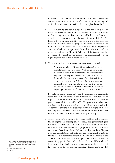replacement of the HRA with a modern Bill of Rights, government and Parliament should be very careful not to undo this victory and to free domestic courts to decide what our rights should be.<sup>[9](#page-7-0)</sup>

- 4. The foreword to the consultation notes the UK's long, proud history of freedom, mentioning a number of landmark statutes in this history. But the foreword then adds that HRA "has been a further stepping-stone along the path of that tradition". The foreword goes on to say, rightly, that no law is ever the last word on a subject and to frame the proposal for a modern British Bill of Rights as a further development. With respect, this underplays the extent to which the HRA jars with the traditional British model of rights protection. For, "[t]he UK's history of rights protection has not required or involved submission to an international court or rights adjudication in the modern sense.["10](#page-7-1)
- 5. The common law constitutional tradition is one in which:

*"…courts have adjudicated disputes fairly according to law, law over which Parliament has had authority. While the case law developed by courts is of course an important source of law, articulating many important rights, very many of our rights are, and all of them can be, articulated authoritatively in statute. These "legislated rights" are a main way in which Parliament, led by government and accountable to the people, secures the common good. It is a mistake*  to think that the merits of Parliament's lawmaking choices must be *subject to judicial supervision if human rights are to be protected.["11](#page-7-2)*

It would be entirely consistent with the common law tradition to repeal the HRA and not to replace it with another statutory bill of rights. This would restore the law of the constitution, in relevant part, to its condition in 1998/2000. The points made above are consistent with the consultation's recognition, most notably in Appendix 1, that the main protection for human rights in the UK has long been ordinary legislation, and common law rules, over which Parliament has exercised continuing authority.

6. The government's proposal is to replace the HRA with a modern Bill of Rights. In making this proposal, the government goes further than the IHRAR, both in its evaluation of the problems to which the HRA gives rise and in its proposed solutions. I share the government's critique of the HRA, advanced primarily in Chapter 3 of the consultation, and note that the government is entirely free to take a different view from the IHRAR of the merits of the 1998 Act. With respect, establishing the IHRAR was a mistake. It was entirely predictable, and predicted, that the IHRAR, chaired by a former Lord Justice of Appeal and composed exclusively of lawyers, would largely endorse the HRA. This is not to say that

<span id="page-7-1"></span>10. Ekins and Larkin (2021), [3]

<span id="page-7-0"></span><sup>9.</sup> See R Ekins, "Under Lord Reed, the Supreme Court itself is pushing back against judicial activism", Conservative Home, 17 December 2021

<span id="page-7-2"></span><sup>11.</sup> Ibid., [4]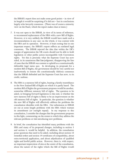the IHRAR's report does not make some good points – in view of its length it would be surprising if it did not – but its conclusions largely echo lawyerly consensus. (There was of course a minority view on the Panel, which the report makes clear at times.)

- 7. It was not open to the IHRAR, in view of its terms of reference, to recommend replacement of the HRA with a new Bill of Rights. However, it is very unlikely the IHRAR would have made such a recommendation in any case: on the whole, it was content with the HRA and its operation. However, it bears noting that in one important respect, the IHRAR's report reflects an outdated legal consensus. The IHRAR rejected the idea that within the UK's margin of appreciation the UK courts should not be able to hold legislation or other public action incompatible with Convention rights. Yet this is precisely what the Supreme Court has now ruled, in its unanimous *Elan Cane* judgment, disapproving the line of cases that the IHRAR was content to uphold as a constitutionally defensible legal status quo. In developing its proposals for a modern Bill of Rights, the government should be very careful not inadvertently to restore the constitutionally dubious consensus that the IHRAR defended and the Supreme Court has now, to its credit, undone.
- 8. The HRA is a statutory bill of rights, bearing a family resemblance to the New Zealand Bill of Rights on which it is partly based. The modern Bill of Rights the government proposes would be another, somewhat different statutory bill of rights. The question to be asked, in bringing forward legislation to this end, is whether the new statutory bill of rights is likely to be an improvement on the old statutory bill of rights. In particular, the question is whether the new Bill of Rights will effectively address the problems the consultation identifies with the HRA. Our submission to IHRAR set out at some length problems with the HRA which warrant its amendment (or outright repeal). In my response to this consultation, I consider the changes that the government proposes in this light, commenting on the extent to which they address the relevant problems or risk introducing new problems.
- 9. In brief, the consultation has identified many problems with the HRA and many of its proposed changes, including to section 3 and section 4, would be helpful. In addition, the consultation poses questions that need to be asked, including about section 10 remedial orders and section 19 certificates of compatibility, about extra-territorial application, and about adjudication of qualified rights and lawful public action. However, there is, with respect, an important imprecision of aim at the centre of the consultation, about the nature of the rights which the Bill of Rights would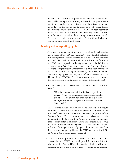<span id="page-9-0"></span>introduce or establish, an imprecision which needs to be carefully resolved before legislation is brought forward. The government's ambition to address rights inflation and the misuse of human rights law, on the part of the European Court of Human Rights and domestic courts, is well taken. Domestic law need not march in lockstep with the case law of the Strasbourg Court. But care must be taken to avoid tacitly licensing UK courts to run amok. This is the central risk with a modern British Bill of Rights and should be painstakingly addressed.

#### **Making and interpreting rights**

- 10. The most important question to be determined in deliberating about repeal of the HRA and enactment of a modern Bill of Rights is what rights the latter will introduce into our law and the form in which they will be introduced. It is a distinctive feature of the HRA that it reproduces the rights set out in the ECHR as a schedule to the Act. Quite apart from section 2 of the HRA, the Convention rights would almost inevitably have been understood to be equivalent to the rights secured by the ECHR, which are authoritatively applied in judgments of the European Court of Human Rights (ECtHR). The whole structure of the Act supports this inference about Parliament's lawmaking intention in 1998.
- 11. In introducing the government's proposals, the consultation says: $12$

*"The rights as set out in Schedule 1 to the Human Rights Act will remain. We regard the Convention as offering a common-sense list of rights. The key problems have arisen from the way in which those rights have been applied in practice, at both the Strasbourg and domestic levels."* 

The consultation notes uncertainty about how section 2 should be applied. The IHRAR's report downplayed this uncertainty, but it is confirmed, and partly resolved, by recent judgments of the Supreme Court. There is a strong case for legislating expressly in support of the Supreme Court's new approach (an approach that correctly infers Parliament's lawmaking intention in 1998) in order to prevent future regression. There must be a strong risk that a future generation of judges will be inclined, like their forebears, to attempt to gold-plate the ECHR, creating a British Bill of Rights without parliamentary approval.

12. The consultation proposes to reproduce the text of Schedule 1 (and thus the ECHR) but to adopt a different formulation in place of section 2 of the HRA, a formulation which provides some direction to judges about how to interpret the rights in question.

<span id="page-9-1"></span>12. Consultation, [184]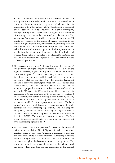Section 2 is entitled "Interpretation of Convention Rights" but strictly has a much broader reach, because it is addressed to "A court or tribunal determining a question which has arisen in connection with a Convention right". The alternative clauses set out in Appendix 2 seem to follow the HRA's lead in this regard, failing to distinguish the legal meaning of rights from the question of how they be applied in the context of particular disputes. The government's proposal is to widen the range of case law that UK courts may consider in the course of making decisions in the course of rights adjudication, while specifying that they need not reach decisions that accord with the jurisprudence of the ECtHR. What this fails to address is the question of what rights Parliament will be introducing into law when it enacts the Bill of Rights and whether those rights are intended to be identical to the terms the UK and other member states agreed in 1950 or whether they are to be developed further.

- 13. The consultation says that "[t]he starting point for the courts' interpretation of rights should therefore be the text of the rights themselves, together with past decisions of the domestic courts on the point.["13](#page-10-0) But in interpreting statutory provisions, including provisions that establish legal rights, the question is not simply what the text states but what meaning Parliament intends to convey in promulgating that text. The question thus arises whether, in enacting the Bill of Rights, Parliament will be acting on a proposal to restore to UK law the terms of the ECHR which the UK agreed in 1950, which should be understood in accordance with the intentions of the signatories, or whether it will be inviting the courts to develop a new human rights law, grounded in the text but taking into account case law from around the world. The former proposition is attractive. The latter proposition, to my mind, is not, for it would confer on domestic courts an improper lawmaking responsibility. The HRA, properly interpreted, attempts to avoid authorising UK judges to exercise this responsibility by requiring them to keep track with the case law of the ECtHR. The problem, of course, is that the ECtHR is willing to interpret the ECHR in ways that are openly inconsistent with the meaning agreed in 1950.
- 14. In other words, there is a question that needs to be answered before a modern British Bill of Rights is introduced, let alone enacted, which is what rights Parliament is intending to establish and how courts are to identify Parliament's lawmaking intentions without simply making law themselves. Not every question in the course of rights adjudication is an interpretive question. The court may identify the intended meaning of the relevant legal provision, which may then require application in the context

<span id="page-10-0"></span>13. Consultation, [195]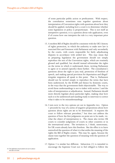of some particular public action or predicament. With respect, the consultation sometimes runs together questions about interpretation of Convention rights with questions about how they should be applied, including how a court is to determine whether some legislation or policy is proportionate. This is not itself an interpretive question; it is a question about rule application, even if of course how one interprets the rule is a very important prior question.

- 15. A modern Bill of Rights should be consistent with the UK's history of rights protection, in which the authority to make new law is exercised first and foremost with Parliament and only secondarily by the courts, with courts responsible for fairly adjudicating disputes in accordance with settled law. This may mean that in preparing legislation the government should not simply reproduce the text of the Convention rights, which are routinely glossed and qualified, but should instead reformulate the rights on the terms in which it understands them, inviting Parliament to agree or to amend (specify) them further. The consultation's questions about the right to jury trial, protection of freedom of speech, and making special provision for deportation and illegal/ irregular migration all speak to this point. That is, Parliament should not be invited simply to reproduce the terms that have been understood, by the ECtHR and thence by domestic courts, in the ways that the government finds objectionable. The way to avoid those understandings is not to tinker with section 2 and the rules of interpretation or adjudication. Instead, Parliament should more directly legislate about particular rights, making clear how each is to be understood and standing ready to intervene to correct what it takes to be misunderstandings.
- 16. I turn now to the two options set out in Appendix two. Option 1 proceeds by way of a series of negative propositions about how question about rights are *not* to be determined. It requires the court to follow relevant precedent,<sup>[14](#page-11-0)</sup> but does not address the question of how the first judgments on point are to be made, viz. what the object of interpretation is. The clause also invites UK courts to consider judgments of courts in other countries or in the international arena. The invitation is, I think, unnecessary, for UK courts already have this freedom. But the effect is to leave unresolved the question of what it is that settles the meaning of the rights the Bill of Rights creates. This may be, again, because the clause runs together the question of meaning with the question of application.
- 17. Option 2 is similar but different. Subsection (1) is intended to encourage the Supreme Court not to feel obliged to follow the

<span id="page-11-0"></span>14. The definition of precedent set out in subsection (8) is circular.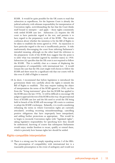ECtHR. It would be quite possible for the UK courts to read that subsection as superfluous, for the Supreme Court is already the judicial authority with ultimate responsibility for interpretation of Convention rights, notwithstanding the fact that the Court thinks itself bound to interpret – and apply – those rights consistently with settled ECtHR case law. Subsection (3) requires the UK court to have particular regard to the text, and permits it to have regard to the preparatory work of the ECHR. This invites confusion about whether the intention is for the Bill of Rights to be taken to establish the terms agreed in 1950. An injunction to have particular regard to the text is insufficiently precise. It risks inadvertently discouraging the court from inferring Parliament's intended meaning, although on the other hand the reference to the preparatory work of the ECHR does suggest that the point is to infer what was intended (agreed by member states) in 1950. Subsection  $(6)$  specifies that the UK court is not required to follow the ECtHR. This is usefully clear as a means of displacing the presumption of compatibility with international law. It would remain the case that the UK court might well choose to follow the ECtHR and there must be a significant risk that our courts will do this even if a Bill of Rights is enacted.

18. In short, I recommend that before legislation is introduced the government think very carefully about the rights it intends the Bill of Rights to establish. This may require making the object of interpretation the terms of the ECHR agreed in 1950, cut free from the "living instrument" gloss that the ECtHR has applied to the ECHR since the late 1970s. It will be difficult to encourage UK judges to approach the text of the ECHR in this way: the gravitational force of ECtHR case law and the felt need to avoid the UK being held in breach of the ECHR will encourage UK courts to continue to adopt the ECtHR's technique. Relatedly, it is worth considering reframing the terms in which Convention rights are currently articulated, avoiding recurring misunderstandings, cancelling positive obligations that have improperly been interpolated, and adding further protections as appropriate. This would be to begin to reconcile Convention rights with "legislated rights", taking legislative responsibility for specifying how they should be understood, knowing of course that subsequent Parliaments would enjoy similar freedom to recast, qualify or extend them, which is precisely how human rights law should be settled.

#### **Rights-compatible interpretation**

19. There is a strong case for simply repealing section 3 of the HRA. The presumption of compatibility with international law is a reasonable presumption in the event of ambiguity and would not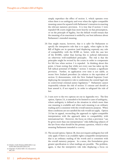<span id="page-13-0"></span>simply reproduce the effect of section 3, which operates even when there is no ambiguity and even when the rights-compatible meaning cannot be squared with Parliament's intention in enacting the relevant statutory provision. It is true that if section 3 were repealed UK courts might lean more heavily on that presumption, or on the principle of legality, but the default would remain that the meaning of an enactment is settled by our best inference about Parliament's intended meaning.

- 20. One might reason, however, that it is safer for Parliament to specify the interpretive rule that is to apply, when rights in the Bill of Rights are in question (and displacing expressly any rule of compatibility with the ECHR or, better, with the case law of the ECtHR), rather than leaving this to judicial elaboration on otherwise well-established principles. The risk is that the principles might be revised by the courts in order to compensate for felt loss when section 3 is repealed. In thinking about this point, it bears noting that while not every case has taken up the full radical potential of *Ghaidan*, [15](#page-13-1) section 3 remains a significant provision. Further, its application over time is not stable, as recent New Zealand precedent (in relation to the equivalent of section 3) demonstrates, with the New Zealand Supreme Court deploying the interpretive rule to undermine the central legal rule in controversial criminal justice legislation.<sup>16</sup> Parliament cannot responsibly tolerate the risk of section 3's misuse and should at least amend it, if not repeal it, in order to safeguard the rule of law.
- 21. I turn now to the two options set out in Appendix two. The first option, Option 2A, is intended to be limited to cases of ambiguity, where ambiguity is defined as the situation in which more than one meaning is available and when each meaning is an ordinary reading and is consistent with the overall statutory purpose. When these conditions are not satisfied the rule would not apply. Option 2A has its appeal, reconciling the approach to rights-compatible interpretation with the approach taken to compatibility with international law. However, the focus on when a provision "can be given more than one interpretation" risks deflecting subjects of the law from what should be the primary question, which is what meaning Parliament intended to convey.
- 22. The second option, Option 2B, does not require ambiguity but will only apply if there is an available rights-compatible interpretation that is an ordinary reading of the words and is consistent with the overall statutory purpose. In a sense, this formulation gives greater specification to what readings are possible. The problem, again, is that the interpretive rule risks displacing a focus on

<span id="page-13-1"></span><sup>15.</sup> *Ghaidan v Godin-Mendoza [2004] UKHL 3;* see further *Ekins and Larkin (2021), [41]*

<span id="page-13-2"></span>*<sup>16.</sup> Fitzgerald v R [2021] NZSC 131*, discussed at ihid. n24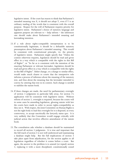legislative intent. If the court has reason to think that Parliament's intended meaning was X, it should not adopt Y, even if Y is an ordinary reading of the words that is consistent with the overall purpose. Respect for the will of Parliament requires priority for legislative intent. Parliament's choice of statutory language and apparent purpose are relevant to  $-$  help inform  $-$  the inferences one should make about Parliament's intended meaning and lawmaking intention.

- 23. If a rule about rights-compatible interpretation is to be constitutionally legitimate, it should be a defeasible statutory presumption about Parliament's intended meaning. This would be consistent with constitutional principle, viz. the priority of legislative intent. Parliament might specify that "Unless the context otherwise requires, legislation should be read and given effect in a way which is compatible with the rights in this Bill of Rights", or "So far as is consistent with the intention of the enacting Parliament or relevant lawmaker, legislation should be read and given effect in a way which is compatible with the rights in this Bill of Rights". Either change, or a change to similar effect, would make much clearer to courts that the interpretive rule informs a process of inference about the meaning of the statutory text, and thus about the meaning that the lawmaker intended to convey by uttering that text in its context. Such change is needed to stabilise the statute book.
- 24. If these changes are made, the need for parliamentary oversight of section 3 judgments in particular falls away, for section 3's application will be consistent with legislative intent. Without reform of section 3, oversight is required, because the courts will in some cases be amending legislation, glossing statute with law the courts have made in order to secure rights-compatibility as they see it. With respect, the Joint Committee on Human Rights is not the right body to lead this oversight for it is disposed, in every controversy, to accept uncritically the lawyerly status quo. It is very unlikely that this Committee would engage critically with judicial action that involves effective amendment of the statute book.
- 25. The consultation asks whether a database should be maintained to record all section 3 judgments. It is true and important that the full reach of section 3 is not well understood and maintaining a database might help. But the full implications of section 3 take place apart from adjudication, for the section applies to all legislation regardless of whether it comes before a court. But again, the answer to the problem is to amend (or repeal) section 3, replacing it with a more disciplined, constitutionally sound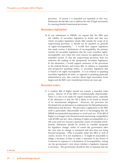provision. If section 3 is amended (or repealed) in this way, Parliament should take care to address the risk of legal uncertainty by enacting detailed transitional provisions.

#### <span id="page-15-0"></span>**Secondary legislation**

26. In our submission to IHRAR, we argued that the HRA puts the validity of secondary legislation in doubt and that save where secondary legislation clearly falls outside the scope of its empowering provision, it should not be quashed on grounds of rights-incompatibility.<sup>17</sup> I would thus support legislation that made section 4 declarations of incompatibility the primary remedy for secondary legislation that the court considers rightsincompatible, save when the court reasons (in application of an amended section 3) that the empowering provision does not authorise the making of the (purported) secondary legislation. In the alternative, I would support extension of the provisions in the Judicial Review and Courts Bill, in relation to suspended and prospective quashing orders, to secondary legislation that is found to be rights incompatible. It is in relation to quashing secondary legislation ab initio, as opposed to quashing particular administrative acts, that concerns about legal uncertainty loom largest and the Bill's new remedial provisions are most apt.

#### **Remedial orders**

<span id="page-15-1"></span>27. A modern Bill of Rights should not contain a remedial order power. Section 10 of the HRA is constitutionally objectionable. There is a case to be made for urgent remedial action, especially if the alternative is that the UK is likely to be found in breach of its international obligations. However, the provision has developed into an alternative to making time for full parliamentary deliberation and decision. The provision's application to the HRA itself is particularly objectionable and it is encouraging that the IHRAR recommended amendment to avoid such use. If the Bill of Rights is no longer to be framed around maximising compatibility with ECtHR case law, then a finding of rights incompatibility by a UK court need not warrant a particular course of remedial action. Instead, Parliament should be invited to consider proposals for legislative change, unless of course the government takes the view that no change is warranted and thus does not bring forward proposals. (This is possible under the HRA as well of course; section 10 is not mandatory.) It might be reasonable to oblige a Secretary of State to make a statement to the House of Commons in response to a declaration of incompatibility, setting out the government's view about whether a legislative response is necessary. The government should be free to maintain that the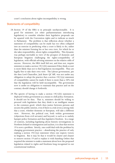<span id="page-16-0"></span>court's conclusion about rights-incompatibility is wrong.

#### **Statements of compatibility**

- 28. Section 19 of the HRA is in principle unobjectionable. It is good for ministers (or other parliamentarians introducing legislation) to consider whether their legislative proposals can be squared with the Convention rights and to indicate as much to Parliament. The problem is that reflection about whether a statement of compatibility can be made has too often collapsed into an exercise in predicting what a court is likely to do, rather than the minister forming his or her own view, for which he or she takes responsibility, about rights-compatibility. This dynamic was perhaps inevitable in view of the prospect of domestic and European litigation challenging the rights-compatibility of legislation, with officials advising ministers on the relative odds of success. However, the HRA itself did not, and does not, require ministers to make a section  $19(1)(b)$  statement if they think a court is more likely than not to find legislation incompatible. They are legally free to take their own view. The Labour government, per the then Lord Chancellor, Jack Straw QC MP, was not under any obligation to adopt the practice that a section  $19(1)(a)$  statement of compatibility cannot be made if there is more than a 50% risk that the legislation will be held incompatible. The government now is under no obligation to maintain that practice and on the contrary should change it forthwith.
- 29. The spectre of having to make a section  $19(1)(b)$  statement is deployed within government as a means to chill policy-formation. It should not be thus. That is, ministers should be willing to proceed with legislation that they think is an intelligent means to the common good, which does justice between persons and secures the public interest, even if there is a risk (even a strong risk) that a court, whether domestic or European, will take a different view. However, the political cost, both within government (objections from civil servants) and beyond, is such as to unduly hamper policy formation and thus legislative freedom. In a range of contexts, including legislating about historic investigations in Northern Ireland or immigration and asylum, it is clear that section 19 is now a problem. Strictly, one could deal with the problem by changing government practice – abandoning the practice of only making a section  $19(1)(a)$  statement when one expects victory in litigation. But it may be that it would be clearer and cleaner to remove section 19 and to replace it with Standing Orders that required the minister to make a statement about how the proposed legislation related to rights and freedoms long recognised in our constitutional tradition.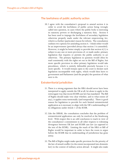#### <span id="page-17-0"></span>**The lawfulness of public authority action**

30. I agree with the consultation's proposal to amend section 6 in order to avoid the lawfulness of public action being wrongly called into question, in cases where the public body is exercising its statutory powers or discharging a statutory duty. Section 6 has been used to impugn the lawfulness of secondary legislation otherwise properly made under the relevant empowering Act, which is a further (particular) reason for reform. The consultation outlines two options for amending section 6. I think either would be an improvement (provided always that section 3 is amended). However, it might be better simply to provide that section  $6(1)$  is subject to any one or more provisions of, or made under, primary legislation that requires or permits the public authority to act otherwise. The primary legislation in question would often be read consistently with the rights set out in the Bill of Rights, but more specific provision in other primary legislation would take precedence, which is entirely defensible precisely because it is more specific. It would remain open to the court to declare such legislation incompatible with rights, which would then leave to government and Parliament (and the people) the question of what next to do.

#### **Extraterritorial jurisdiction**

- 31. There is a strong argument that the HRA should never have been interpreted to apply outside the UK at all, let alone to apply in the extravagant way that recent ECtHR case law has mandated. The Bill of Rights should make very clear whether, and to what extent (if any), it applies extra-territorially (and temporally). There is good reason for legislation to provide for such limited extraterritorial application as is necessary to align with the UK's understanding of its obligations under Article 1 of the ECHR.
- 32. Like the IHRAR, the consultation concludes that the problem of extraterritorial application can only be resolved at the Strasbourg level. With respect this is an odd conclusion to reach in view of the consultation's commitment in all other respects to tolerating divergence between UK law and ECtHR case law (as opposed to the text of the ECHR). Limiting the reach of the HRA or Bill of Rights would be important in order to have the room to argue before the ECtHR that its understanding of jurisdiction has gone astray.
- 33. The Bill of Rights might make specific provision for the priority of the law of armed conflict (to the extent incorporated into domestic law) in the context of military action abroad. It might also make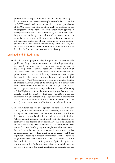<span id="page-18-0"></span>provision for oversight of public action (including action by UK forces or security services) that takes place outside the UK, but that the ECtHR would conclude was nonetheless within the jurisdiction of the UK. The oversight in question might be modelled on the Investigatory Powers Tribunal or Courts Martial, making provision for supervision of state action other than by way of human rights litigation in the ordinary courts. This would help avoid, or at least minimise, some of the problems that have arisen because of the extraterritorial application of Convention rights, while avoiding prejudice to the UK's case in the Strasbourg Court. That said, it is not obvious that without such provision the UK will somehow be forced to disclose sensitive materials in Strasbourg.

#### **Qualified and limited rights**

- 34. The doctrine of proportionality has given rise to considerable problems. Despite its presentation as technical legal reasoning, each step in the proportionality assessment requires the court to engage in political reasoning, especially the final evaluation of the "fair balance" between the interests of the individual and the public interest. This way of framing the considerations in play has been heavily criticised in scholarly work and extra-judicial commentary. The ECtHR, like courts elsewhere, adopted the idea of proportionality as a way of determining whether some prima facie interference with a qualified Convention right passes muster. But it is open to Parliament, especially in the course of enacting a Bill of Rights, to reframe the way in which qualified rights are articulated and the extent to which proportionality is made the touchstone of rights-compatibility. Legislation could provide that certain types of question are not for courts to consider or could specify how certain grounds of limitation are to be understood.
- 35. The consultation sets out two legislative options. They are very similar, but the first focuses on what is necessary in a democratic society and the second on what is in the public interest. The former formulation is more familiar from modern rights adjudication. While I support legislating about qualified rights, displacing the centrality of the doctrine of proportionality, the draft clauses do not seem to me likely to be very effective. The courts would likely reason that they already give great weight to Parliament's views. Option 1 might be understood to require the court to accept that in Parliament's view (which must be given great weight) the legislation is necessary in a free and democratic society. The courts might nonetheless conclude that Parliament was wrong or that it had overlooked the problem in question. Option 2 requires the court to accept that Parliament was acting in the public interest, but leaves it open to the court nonetheless to conclude that the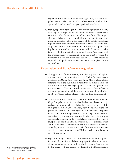<span id="page-19-0"></span>legislation (or public action under the legislation) was not in the public interest. The courts should not be invited to reach such an open-ended and political (not party political) conclusion.

36. Ideally, legislation about qualified and limited rights would specify those rights in ways that would make authoritative Parliament's view about what they require. But if there is to be a Bill of Rights, affirming rights in general in addition to the specific provision made by legislated rights in the balance of the statute book, there is good reason for a provision that states in effect that courts may only conclude that legislation is incompatible with rights if the legislation is manifestly without reasonable foundation. That is, where the incompatibility turns on the court's assessment of the proportionality of the legislation, or the extent to which it is necessary in a free and democratic society, UK courts should be required to adopt the reserved test that the ECtHR applies in some types of case.

#### **Deportations and illegal/irregular migration**

- 37. The application of Convention rights in the migration and asylum context has been very significant. In a Policy Exchange report published last March, John Finnis and Simon Murray chronicle the extent to which the ECtHR has distorted the intended meaning of the ECHR, inventing new legal rights that were not agreed by the member states.<sup>18</sup> The UK courts have not been at the forefront of this development, although have sometimes moved ahead of the Strasbourg Court, but have loyally followed it for the most part.
- 38. The answer to the consultation questions about deportation and illegal/irregular migration is that Parliament should specify, perhaps in a new Bill of Rights but especially in detail in immigration and asylum legislation, how the relevant rights (in particular Article 3 and Article 8) are to be understood and applied in UK law. The immigration and asylum legislation needs to authoritatively and expressly address the rights questions in play and to make provision for how the balance (if one wishes to put it thus) is to be struck in different types of case, for example, when and to what extent it should be open to the Secretary of State to order deportation if someone is at risk of maltreatment elsewhere or if that person would not enjoy UK-level healthcare at home or so forth and so on.
- 39. Legislation might make clear that decisions about the public interest in deportation, and about the proportionality or otherwise of a deportation, are to be made by the Secretary of State and not 18. J Finnis and S Murray, *Immigration, Strasbourg* by the court, with the court's role limited to traditional judicial

<span id="page-19-1"></span>*and Judicial Overreach* (19 March 2021, Policy Exchange), foreword by Lord Hoffmann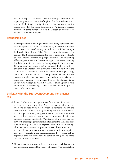<span id="page-20-0"></span>review principles. The answer then is careful specification of the rights in question in the Bill of Rights, if such is to be enacted, and careful drafting in immigration and asylum legislation, which makes clear that the latter legislation is Parliament's specific decision on point, which is not to be glossed or frustrated by reference to the Bill of Rights.

#### **Responsibilities**

40. If the rights in the Bill of Rights are to be statutory rights then they must be open to all persons to insist upon, however unattractive the person's other conduct may be. I do not think that damages for breach of the HRA (or Bill of Rights) is the main problem with the Act. Much more important is the risk of displacing legitimate political choice, undermining legal certainty, and frustrating effective government for the common good. However, making legislative provision in relation to damages is perfectly reasonable. Of the two options the consultation outlines, I think it is Option 1 that should be adopted. The claimant's conduct in relation to the claim itself is certainly relevant to the award of damages, if any, that should be made. Option 2 is to my mind much less attractive because it implies that one may discount a claim, otherwise wellmade and warranting recompense, because the claimant is an unattractive (unpopular, wicked) person. I think Option 2 risks undermining the idea of legal rights in general, whereas Option 1 does not have this defect.

#### **Dialogue with the Strasbourg Court and Parliament's role**

- 41. I have doubts about the government's proposals in relation to replacing section 2 of the HRA. But I agree that the UK should be willing to tolerate divergence between its domestic law and the case law of the ECtHR. Strictly speaking, the HRA also tolerates such divergence, leaving it to government and Parliament to decide when or if to change the law in response to adverse decisions by domestic courts or the ECtHR. The risk has always been that the HRA will encourage government and Parliament to think that they have no legally or politically respectable option save to comply. This risk has manifested in part, as I noted above in relation to section 19, but prisoner voting is a very significant exception, and more generally most parliamentarians have continued to appreciate that Parliament remains constitutionally free to make the law it thinks warranted.
- 42. The consultation proposes a formal means by which Parliament might consider adverse Strasbourg judgments. The consultation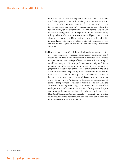frames this as "a clear and explicit democratic shield to defend the dualist system in the UK by making clear that Parliament, in the exercise of the legislative function, has the last word on how to respond to adverse rulings."<sup>19</sup> I agree that in our system it is for Parliament, led by government, to decide how to legislate and whether to change the law in response to an adverse Strasbourg ruling. This is what it means to exercise self-government. It is also a means to avoid the UK being forced to arrange its public life in accordance with terms to which it did not voluntarily agree, viz. the ECtHR's gloss on the ECHR, per the living instrument doctrine.

43. However, subsection (1) of the draft clause is unnecessary. It is not required in order to vindicate parliamentary sovereignty and it would be a mistake to think that if such a provision were in force its repeal would have any legal effect whatsoever – that is, its repeal would not in any way diminish parliamentary sovereignty. It is not unreasonable to impose a duty on a minister to bring an adverse judgment to the attention of the Houses of Parliament and to table a motion for debate. Legislating in this way should be framed in such a way as to avoid any implication, whether as a matter of law or constitutional practice, that ministers are somehow under a duty to encourage Parliament to legislate in compliance, let alone to bring forward legislation to this end. I do not think the clause risks implying such a legal duty exists, but in view of the widespread misunderstanding on the part of many senior lawyers and some parliamentarians about the relationship between the Ministerial Code, ministers and the rule of (international) law, the clause would need to be introduced and explained carefully in line with settled constitutional principle.

<span id="page-21-0"></span>19. Consultation, [316]